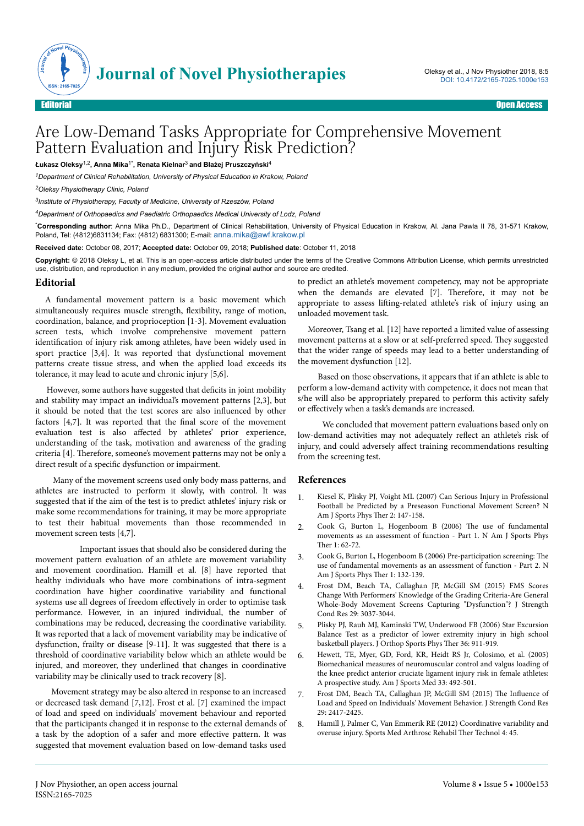

## Are Low-Demand Tasks Appropriate for Comprehensive Movement Pattern Evaluation and Injury Risk Prediction?

**Łukasz Oleksy**1,2**, Anna Mika**1\***, Renata Kielnar**3 **and Błażej Pruszczyński**<sup>4</sup>

*<sup>1</sup>Department of Clinical Rehabilitation, University of Physical Education in Krakow, Poland*

*<sup>2</sup>Oleksy Physiotherapy Clinic, Poland*

*3 Institute of Physiotherapy, Faculty of Medicine, University of Rzeszów, Poland*

*<sup>4</sup>Department of Orthopaedics and Paediatric Orthopaedics Medical University of Lodz, Poland*

\***Corresponding author**: Anna Mika Ph.D., Department of Clinical Rehabilitation, University of Physical Education in Krakow, Al. Jana Pawla II 78, 31-571 Krakow, Poland, Tel: (4812)6831134; Fax: (4812) 6831300; E-mail: [anna.mika@awf.krakow.pl](mailto:anna.mika@awf.krakow.pl)

**Received date:** October 08, 2017; **Accepted date:** October 09, 2018; **Published date**: October 11, 2018

**Copyright:** © 2018 Oleksy L, et al. This is an open-access article distributed under the terms of the Creative Commons Attribution License, which permits unrestricted use, distribution, and reproduction in any medium, provided the original author and source are credited.

## **Editorial**

A fundamental movement pattern is a basic movement which simultaneously requires muscle strength, flexibility, range of motion, coordination, balance, and proprioception [1-3]. Movement evaluation screen tests, which involve comprehensive movement pattern identification of injury risk among athletes, have been widely used in sport practice [3,4]. It was reported that dysfunctional movement patterns create tissue stress, and when the applied load exceeds its tolerance, it may lead to acute and chronic injury [5,6].

However, some authors have suggested that deficits in joint mobility and stability may impact an individual's movement patterns [2,3], but it should be noted that the test scores are also influenced by other factors  $[4,7]$ . It was reported that the final score of the movement evaluation test is also affected by athletes' prior experience, understanding of the task, motivation and awareness of the grading criteria [4]. Нerefore, someone's movement patterns may not be only a direct result of a specific dysfunction or impairment.

Many of the movement screens used only body mass patterns, and athletes are instructed to perform it slowly, with control. It was suggested that if the aim of the test is to predict athletes' injury risk or make some recommendations for training, it may be more appropriate to test their habitual movements than those recommended in movement screen tests [4,7].

Important issues that should also be considered during the movement pattern evaluation of an athlete are movement variability and movement coordination. Hamill et al. [8] have reported that healthy individuals who have more combinations of intra-segment coordination have higher coordinative variability and functional systems use all degrees of freedom effectively in order to optimise task performance. However, in an injured individual, the number of combinations may be reduced, decreasing the coordinative variability. It was reported that a lack of movement variability may be indicative of dysfunction, frailty or disease [9-11]. It was suggested that there is a threshold of coordinative variability below which an athlete would be injured, and moreover, they underlined that changes in coordinative variability may be clinically used to track recovery [8].

Movement strategy may be also altered in response to an increased or decreased task demand [7,12]. Frost et al. [7] examined the impact of load and speed on individuals' movement behaviour and reported that the participants changed it in response to the external demands of a task by the adoption of a safer and more effective pattern. It was suggested that movement evaluation based on low-demand tasks used

to predict an athlete's movement competency, may not be appropriate when the demands are elevated [7]. Нerefore, it may not be appropriate to assess lifting-related athlete's risk of injury using an unloaded movement task.

Moreover, Tsang et al. [12] have reported a limited value of assessing movement patterns at a slow or at self-preferred speed. Нey suggested that the wider range of speeds may lead to a better understanding of the movement dysfunction [12].

Based on those observations, it appears that if an athlete is able to perform a low-demand activity with competence, it does not mean that s/he will also be appropriately prepared to perform this activity safely or effectively when a task's demands are increased.

We concluded that movement pattern evaluations based only on low-demand activities may not adequately reflect an athlete's risk of injury, and could adversely affect training recommendations resulting from the screening test.

## **References**

- 1. [Kiesel K, Plisky PJ, Voight ML \(2007\) Can Serious Injury in Professional](https://www.ncbi.nlm.nih.gov/pmc/articles/PMC2953296/) [Football be Predicted by a Preseason Functional Movement Screen? N](https://www.ncbi.nlm.nih.gov/pmc/articles/PMC2953296/) [Am J Sports Phys](https://www.ncbi.nlm.nih.gov/pmc/articles/PMC2953296/) Ther 2: 147-158.
- 2. [Cook G, Burton L, Hogenboom B \(2006\)](https://www.ncbi.nlm.nih.gov/pmc/articles/PMC2953313/) Нe use of fundamental [movements as an assessment of function - Part 1. N Am J Sports Phys](https://www.ncbi.nlm.nih.gov/pmc/articles/PMC2953313/) Ther  $1: 62-72$ .
- 3. [Cook G, Burton L, Hogenboom B \(2006\) Pre-participation screening:](https://www.ncbi.nlm.nih.gov/pubmed/21522225) The [use of fundamental movements as an assessment of function - Part 2. N](https://www.ncbi.nlm.nih.gov/pubmed/21522225) [Am J Sports Phys](https://www.ncbi.nlm.nih.gov/pubmed/21522225) Ther 1: 132-139.
- 4. [Frost DM, Beach TA, Callaghan JP, McGill SM \(2015\) FMS Scores](https://doi.org/10.1097/JSC.0000000000000211) [Change With Performers' Knowledge of the Grading Criteria-Are General](https://doi.org/10.1097/JSC.0000000000000211) [Whole-Body Movement Screens Capturing "Dysfunction"? J Strength](https://doi.org/10.1097/JSC.0000000000000211) [Cond Res 29: 3037-3044.](https://doi.org/10.1097/JSC.0000000000000211)
- 5. Plisky PJ, Rauh MJ, Kaminski TW, Underwood FB (2006) Star Excursion Balance Test as a predictor of lower extremity injury in high school basketball players. J Orthop Sports Phys Ther 36: 911-919.
- 6. Hewett, TE, Myer, GD, Ford, KR, Heidt RS Jr, Colosimo, et al. (2005) Biomechanical measures of neuromuscular control and valgus loading of the knee predict anterior cruciate ligament injury risk in female athletes: A prospective study. Am J Sports Med 33: 492-501.
- 7. [Frost DM, Beach TA, Callaghan JP, McGill SM \(2015\)](https://doi.org/10.1519/JSC.0000000000000264) The Influence of [Load and Speed on Individuals' Movement Behavior. J Strength Cond Res](https://doi.org/10.1519/JSC.0000000000000264) [29: 2417-2425.](https://doi.org/10.1519/JSC.0000000000000264)
- 8. [Hamill J, Palmer C, Van Emmerik RE](https://doi.org/10.1186/1758-2555-4-45) (2012) Coordinative variability and [overuse injury. Sports Med Arthrosc Rehabil](https://doi.org/10.1186/1758-2555-4-45) Нer Technol 4: 45.